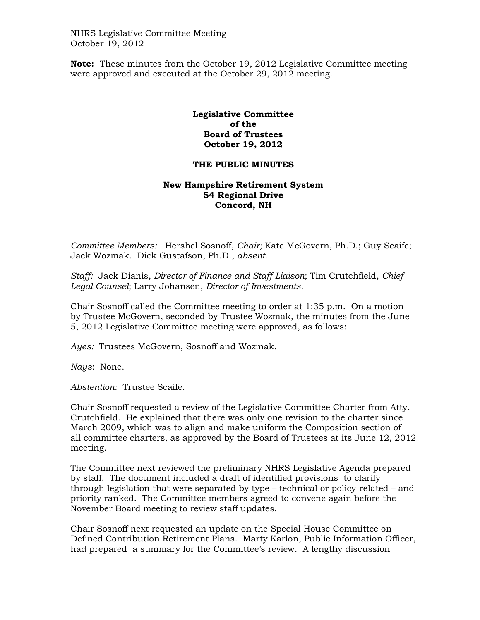NHRS Legislative Committee Meeting October 19, 2012

**Note:** These minutes from the October 19, 2012 Legislative Committee meeting were approved and executed at the October 29, 2012 meeting.

## **Legislative Committee of the Board of Trustees October 19, 2012**

## **THE PUBLIC MINUTES**

## **New Hampshire Retirement System 54 Regional Drive Concord, NH**

*Committee Members:* Hershel Sosnoff, *Chair;* Kate McGovern, Ph.D.; Guy Scaife; Jack Wozmak. Dick Gustafson, Ph.D., *absent.* 

*Staff:* Jack Dianis, *Director of Finance and Staff Liaison*; Tim Crutchfield, *Chief Legal Counsel*; Larry Johansen, *Director of Investments*.

Chair Sosnoff called the Committee meeting to order at 1:35 p.m. On a motion by Trustee McGovern, seconded by Trustee Wozmak, the minutes from the June 5, 2012 Legislative Committee meeting were approved, as follows:

*Ayes:* Trustees McGovern, Sosnoff and Wozmak.

*Nays*: None.

*Abstention:* Trustee Scaife.

Chair Sosnoff requested a review of the Legislative Committee Charter from Atty. Crutchfield. He explained that there was only one revision to the charter since March 2009, which was to align and make uniform the Composition section of all committee charters, as approved by the Board of Trustees at its June 12, 2012 meeting.

The Committee next reviewed the preliminary NHRS Legislative Agenda prepared by staff. The document included a draft of identified provisions to clarify through legislation that were separated by type – technical or policy-related – and priority ranked. The Committee members agreed to convene again before the November Board meeting to review staff updates.

Chair Sosnoff next requested an update on the Special House Committee on Defined Contribution Retirement Plans. Marty Karlon, Public Information Officer, had prepared a summary for the Committee's review. A lengthy discussion